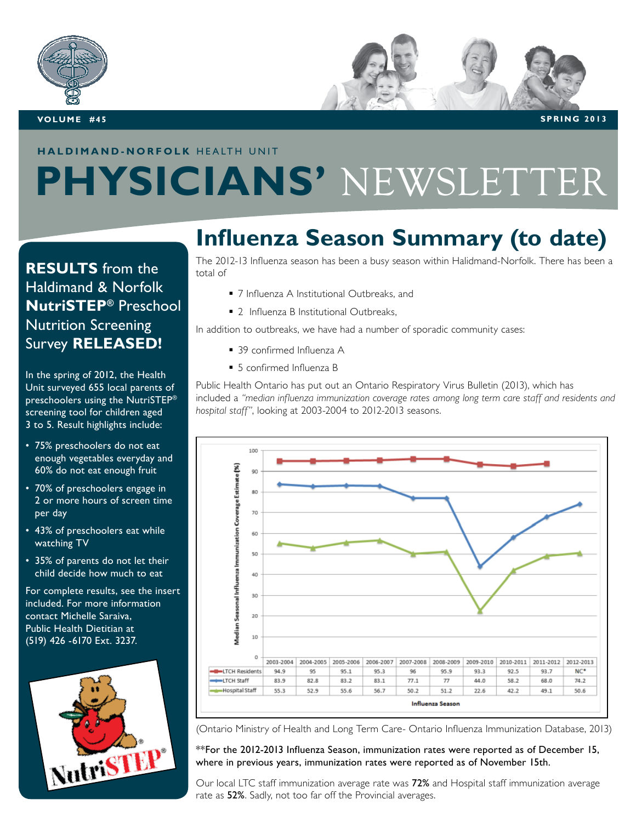

#### **haldimand-norfolk** HEALTH UNIT

# **PHYSICIANS'** NEWSLETTER

#### **RESULTS** from the Haldimand & Norfolk **NutriSTEP®** Preschool Nutrition Screening Survey **Released!**

In the spring of 2012, the Health Unit surveyed 655 local parents of preschoolers using the NutriSTEP® screening tool for children aged 3 to 5. Result highlights include:

- 75% preschoolers do not eat enough vegetables everyday and 60% do not eat enough fruit
- 70% of preschoolers engage in 2 or more hours of screen time per day
- 43% of preschoolers eat while watching TV
- 35% of parents do not let their child decide how much to eat

For complete results, see the insert included. For more information contact Michelle Saraiva, Public Health Dietitian at (519) 426 -6170 Ext. 3237.



#### **Influenza Season Summary (to date)**

The 2012-13 Influenza season has been a busy season within Halidmand-Norfolk. There has been a total of

- 7 Influenza A Institutional Outbreaks, and
- 2 Influenza B Institutional Outbreaks,

In addition to outbreaks, we have had a number of sporadic community cases:

- 39 confirmed Influenza A
- 5 confirmed Influenza B

Public Health Ontario has put out an Ontario Respiratory Virus Bulletin (2013), which has included a *"median influenza immunization coverage rates among long term care staff and residents and hospital staff"*, looking at 2003-2004 to 2012-2013 seasons.



(Ontario Ministry of Health and Long Term Care- Ontario Influenza Immunization Database, 2013)

\*\*For the 2012-2013 Influenza Season, immunization rates were reported as of December 15, where in previous years, immunization rates were reported as of November 15th.

Our local LTC staff immunization average rate was 72% and Hospital staff immunization average rate as 52%. Sadly, not too far off the Provincial averages.